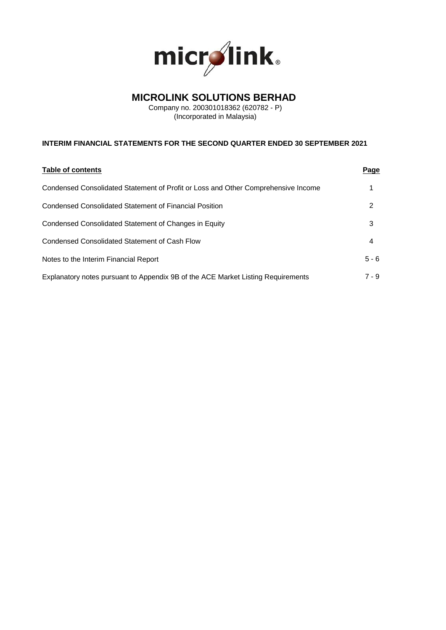

# **MICROLINK SOLUTIONS BERHAD**

Company no. 200301018362 (620782 - P) (Incorporated in Malaysia)

# **INTERIM FINANCIAL STATEMENTS FOR THE SECOND QUARTER ENDED 30 SEPTEMBER 2021**

| Table of contents                                                                 | <u>Page</u> |
|-----------------------------------------------------------------------------------|-------------|
| Condensed Consolidated Statement of Profit or Loss and Other Comprehensive Income |             |
| <b>Condensed Consolidated Statement of Financial Position</b>                     | 2           |
| Condensed Consolidated Statement of Changes in Equity                             | 3           |
| Condensed Consolidated Statement of Cash Flow                                     | 4           |
| Notes to the Interim Financial Report                                             | $5 - 6$     |
| Explanatory notes pursuant to Appendix 9B of the ACE Market Listing Requirements  | $7 - 9$     |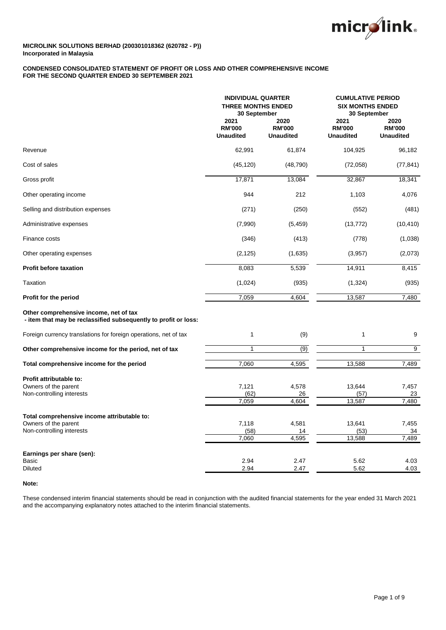

## **CONDENSED CONSOLIDATED STATEMENT OF PROFIT OR LOSS AND OTHER COMPREHENSIVE INCOME FOR THE SECOND QUARTER ENDED 30 SEPTEMBER 2021**

|                                                                                                           | <b>INDIVIDUAL QUARTER</b><br><b>THREE MONTHS ENDED</b><br>30 September |                                           | <b>CUMULATIVE PERIOD</b><br><b>SIX MONTHS ENDED</b><br>30 September |                                           |
|-----------------------------------------------------------------------------------------------------------|------------------------------------------------------------------------|-------------------------------------------|---------------------------------------------------------------------|-------------------------------------------|
|                                                                                                           | 2021<br><b>RM'000</b><br><b>Unaudited</b>                              | 2020<br><b>RM'000</b><br><b>Unaudited</b> | 2021<br><b>RM'000</b><br><b>Unaudited</b>                           | 2020<br><b>RM'000</b><br><b>Unaudited</b> |
| Revenue                                                                                                   | 62,991                                                                 | 61,874                                    | 104,925                                                             | 96,182                                    |
| Cost of sales                                                                                             | (45, 120)                                                              | (48, 790)                                 | (72,058)                                                            | (77, 841)                                 |
| Gross profit                                                                                              | 17,871                                                                 | 13,084                                    | 32,867                                                              | 18,341                                    |
| Other operating income                                                                                    | 944                                                                    | 212                                       | 1,103                                                               | 4,076                                     |
| Selling and distribution expenses                                                                         | (271)                                                                  | (250)                                     | (552)                                                               | (481)                                     |
| Administrative expenses                                                                                   | (7,990)                                                                | (5, 459)                                  | (13, 772)                                                           | (10, 410)                                 |
| Finance costs                                                                                             | (346)                                                                  | (413)                                     | (778)                                                               | (1,038)                                   |
| Other operating expenses                                                                                  | (2, 125)                                                               | (1,635)                                   | (3,957)                                                             | (2,073)                                   |
| <b>Profit before taxation</b>                                                                             | 8,083                                                                  | 5,539                                     | 14,911                                                              | 8,415                                     |
| <b>Taxation</b>                                                                                           | (1,024)                                                                | (935)                                     | (1, 324)                                                            | (935)                                     |
| Profit for the period                                                                                     | 7,059                                                                  | 4,604                                     | 13,587                                                              | 7,480                                     |
| Other comprehensive income, net of tax<br>- item that may be reclassified subsequently to profit or loss: |                                                                        |                                           |                                                                     |                                           |
| Foreign currency translations for foreign operations, net of tax                                          | $\mathbf{1}$                                                           | (9)                                       | $\mathbf{1}$                                                        | 9                                         |
| Other comprehensive income for the period, net of tax                                                     | $\mathbf{1}$                                                           | $\overline{(9)}$                          | 1                                                                   | 9                                         |
| Total comprehensive income for the period                                                                 | 7,060                                                                  | 4,595                                     | 13,588                                                              | 7,489                                     |
| Profit attributable to:<br>Owners of the parent<br>Non-controlling interests                              | 7,121<br>(62)<br>7,059                                                 | 4,578<br>26<br>4,604                      | 13,644<br>(57)<br>13,587                                            | 7,457<br>23<br>7,480                      |
| Total comprehensive income attributable to:<br>Owners of the parent<br>Non-controlling interests          | 7,118<br>(58)<br>7,060                                                 | 4,581<br>14<br>4,595                      | 13,641<br>(53)<br>13,588                                            | 7,455<br>34<br>7,489                      |
| Earnings per share (sen):<br>Basic<br>Diluted                                                             | 2.94<br>2.94                                                           | 2.47<br>2.47                              | 5.62<br>5.62                                                        | 4.03<br>4.03                              |

## **Note:**

These condensed interim financial statements should be read in conjunction with the audited financial statements for the year ended 31 March 2021 and the accompanying explanatory notes attached to the interim financial statements.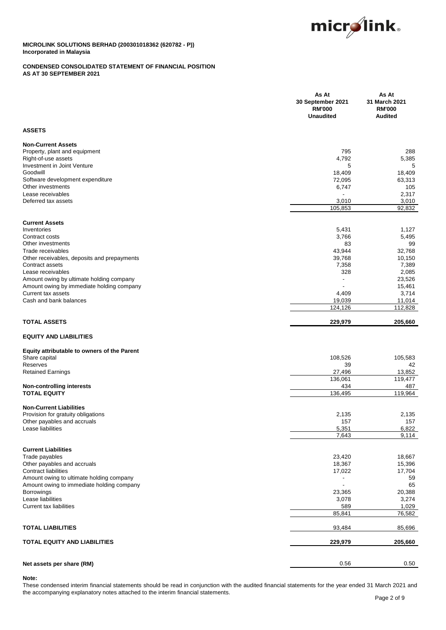

## **CONDENSED CONSOLIDATED STATEMENT OF FINANCIAL POSITION AS AT 30 SEPTEMBER 2021**

|                                                                                       | As At<br>30 September 2021<br><b>RM'000</b><br><b>Unaudited</b> | As At<br>31 March 2021<br><b>RM'000</b><br><b>Audited</b> |
|---------------------------------------------------------------------------------------|-----------------------------------------------------------------|-----------------------------------------------------------|
| <b>ASSETS</b>                                                                         |                                                                 |                                                           |
| <b>Non-Current Assets</b><br>Property, plant and equipment                            | 795                                                             | 288                                                       |
| Right-of-use assets<br>Investment in Joint Venture                                    | 4,792<br>5                                                      | 5,385<br>5                                                |
| Goodwill<br>Software development expenditure                                          | 18,409<br>72,095                                                | 18,409<br>63,313                                          |
| Other investments<br>Lease receivables                                                | 6,747                                                           | 105<br>2,317                                              |
| Deferred tax assets                                                                   | 3,010<br>105,853                                                | 3,010<br>92,832                                           |
| <b>Current Assets</b>                                                                 |                                                                 |                                                           |
| Inventories<br>Contract costs                                                         | 5,431<br>3,766                                                  | 1,127<br>5,495                                            |
| Other investments<br>Trade receivables                                                | 83<br>43,944                                                    | 99<br>32,768                                              |
| Other receivables, deposits and prepayments                                           | 39,768                                                          | 10,150                                                    |
| Contract assets<br>Lease receivables                                                  | 7,358<br>328                                                    | 7,389<br>2,085                                            |
| Amount owing by ultimate holding company                                              | $\blacksquare$                                                  | 23,526                                                    |
| Amount owing by immediate holding company<br>Current tax assets                       | 4,409                                                           | 15,461<br>3,714                                           |
| Cash and bank balances                                                                | 19,039                                                          | 11,014                                                    |
|                                                                                       | 124,126                                                         | 112,828                                                   |
| <b>TOTAL ASSETS</b>                                                                   | 229,979                                                         | 205,660                                                   |
| <b>EQUITY AND LIABILITIES</b>                                                         |                                                                 |                                                           |
| Equity attributable to owners of the Parent                                           |                                                                 |                                                           |
| Share capital<br>Reserves                                                             | 108,526<br>39                                                   | 105,583<br>42                                             |
| <b>Retained Earnings</b>                                                              | 27,496                                                          | 13,852                                                    |
| Non-controlling interests                                                             | 136,061<br>434                                                  | 119,477<br>487                                            |
| <b>TOTAL EQUITY</b>                                                                   | 136,495                                                         | 119,964                                                   |
| <b>Non-Current Liabilities</b>                                                        |                                                                 |                                                           |
| Provision for gratuity obligations<br>Other payables and accruals                     | 2,135<br>157                                                    | 2,135<br>157                                              |
| Lease liabilities                                                                     | 5,351                                                           | 6,822                                                     |
|                                                                                       | 7,643                                                           | 9,114                                                     |
| <b>Current Liabilities</b>                                                            |                                                                 |                                                           |
| Trade payables<br>Other payables and accruals                                         | 23,420<br>18,367                                                | 18,667<br>15,396                                          |
| <b>Contract liabilities</b>                                                           | 17,022                                                          | 17,704                                                    |
| Amount owing to ultimate holding company<br>Amount owing to immediate holding company |                                                                 | 59<br>65                                                  |
| <b>Borrowings</b>                                                                     | 23,365                                                          | 20,388                                                    |
| Lease liabilities                                                                     | 3,078                                                           | 3,274                                                     |
| <b>Current tax liabilities</b>                                                        | 589<br>85,841                                                   | 1,029<br>76,582                                           |
| <b>TOTAL LIABILITIES</b>                                                              | 93,484                                                          | 85,696                                                    |
| <b>TOTAL EQUITY AND LIABILITIES</b>                                                   | 229,979                                                         | 205,660                                                   |
|                                                                                       |                                                                 |                                                           |
| Net assets per share (RM)                                                             | 0.56                                                            | 0.50                                                      |

### **Note:**

These condensed interim financial statements should be read in conjunction with the audited financial statements for the year ended 31 March 2021 and the accompanying explanatory notes attached to the interim financial statements.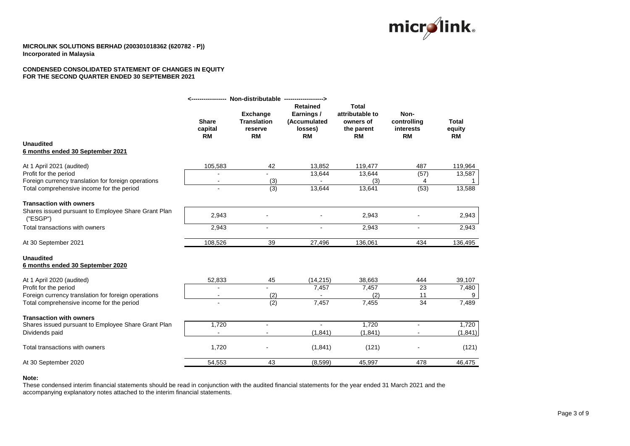

### **CONDENSED CONSOLIDATED STATEMENT OF CHANGES IN EQUITY FOR THE SECOND QUARTER ENDED 30 SEPTEMBER 2021**

|                                                                                                  | ------------------                   | Non-distributable ------------------->                        |                                                                       |                                                                         |                                               |                              |
|--------------------------------------------------------------------------------------------------|--------------------------------------|---------------------------------------------------------------|-----------------------------------------------------------------------|-------------------------------------------------------------------------|-----------------------------------------------|------------------------------|
|                                                                                                  | <b>Share</b><br>capital<br><b>RM</b> | <b>Exchange</b><br><b>Translation</b><br>reserve<br><b>RM</b> | <b>Retained</b><br>Earnings /<br>(Accumulated<br>losses)<br><b>RM</b> | <b>Total</b><br>attributable to<br>owners of<br>the parent<br><b>RM</b> | Non-<br>controlling<br>interests<br><b>RM</b> | <b>Total</b><br>equity<br>RM |
| <b>Unaudited</b><br>6 months ended 30 September 2021                                             |                                      |                                                               |                                                                       |                                                                         |                                               |                              |
| At 1 April 2021 (audited)                                                                        | 105,583                              | 42                                                            | 13,852                                                                | 119,477                                                                 | 487                                           | 119,964                      |
| Profit for the period<br>Foreign currency translation for foreign operations                     |                                      | (3)                                                           | 13,644                                                                | 13,644<br>(3)                                                           | (57)<br>4                                     | 13,587                       |
| Total comprehensive income for the period                                                        |                                      | (3)                                                           | 13,644                                                                | 13,641                                                                  | (53)                                          | 13,588                       |
| <b>Transaction with owners</b>                                                                   |                                      |                                                               |                                                                       |                                                                         |                                               |                              |
| Shares issued pursuant to Employee Share Grant Plan<br>('ESGP")                                  | 2,943                                |                                                               |                                                                       | 2,943                                                                   |                                               | 2,943                        |
| Total transactions with owners                                                                   | 2,943                                | $\blacksquare$                                                | $\blacksquare$                                                        | 2,943                                                                   |                                               | 2,943                        |
| At 30 September 2021                                                                             | 108,526                              | 39                                                            | 27,496                                                                | 136,061                                                                 | 434                                           | 136,495                      |
| <b>Unaudited</b><br>6 months ended 30 September 2020                                             |                                      |                                                               |                                                                       |                                                                         |                                               |                              |
| At 1 April 2020 (audited)                                                                        | 52,833                               | 45                                                            | (14, 215)                                                             | 38,663                                                                  | 444                                           | 39,107                       |
| Profit for the period                                                                            |                                      |                                                               | 7,457                                                                 | 7,457<br>(2)                                                            | 23                                            | 7,480                        |
| Foreign currency translation for foreign operations<br>Total comprehensive income for the period |                                      | (2)<br>(2)                                                    | 7,457                                                                 | 7,455                                                                   | 11<br>34                                      | 9<br>7,489                   |
| <b>Transaction with owners</b>                                                                   |                                      |                                                               |                                                                       |                                                                         |                                               |                              |
| Shares issued pursuant to Employee Share Grant Plan<br>Dividends paid                            | 1,720                                |                                                               | (1, 841)                                                              | 1,720<br>(1, 841)                                                       |                                               | 1,720<br>(1, 841)            |
| Total transactions with owners                                                                   | 1,720                                |                                                               | (1,841)                                                               | (121)                                                                   |                                               | (121)                        |
| At 30 September 2020                                                                             | 54,553                               | 43                                                            | (8,599)                                                               | 45,997                                                                  | 478                                           | 46,475                       |
|                                                                                                  |                                      |                                                               |                                                                       |                                                                         |                                               |                              |

#### **Note:**

These condensed interim financial statements should be read in conjunction with the audited financial statements for the year ended 31 March 2021 and the accompanying explanatory notes attached to the interim financial statements.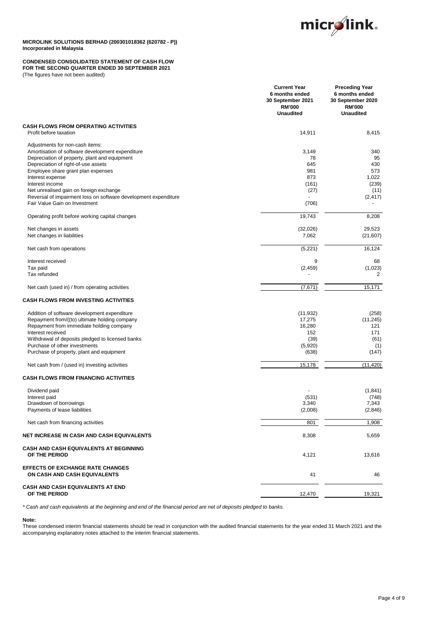

### **CONDENSED CONSOLIDATED STATEMENT OF CASH FLOW FOR THE SECOND QUARTER ENDED 30 SEPTEMBER 2021**

(The figures have not been audited)

|                                                                                                  | <b>Current Year</b><br>6 months ended<br>30 September 2021<br><b>RM'000</b><br><b>Unaudited</b> | <b>Preceding Year</b><br>6 months ended<br>30 September 2020<br><b>RM'000</b><br><b>Unaudited</b> |
|--------------------------------------------------------------------------------------------------|-------------------------------------------------------------------------------------------------|---------------------------------------------------------------------------------------------------|
| <b>CASH FLOWS FROM OPERATING ACTIVITIES</b><br>Profit before taxation                            | 14,911                                                                                          | 8,415                                                                                             |
| Adjustments for non-cash items:                                                                  |                                                                                                 |                                                                                                   |
| Amortisation of software development expenditure                                                 | 3,149                                                                                           | 340                                                                                               |
| Depreciation of property, plant and equipment                                                    | 78                                                                                              | 95                                                                                                |
| Depreciation of right-of-use assets                                                              | 645                                                                                             | 430                                                                                               |
| Employee share grant plan expenses                                                               | 981                                                                                             | 573                                                                                               |
| Interest expense                                                                                 | 873                                                                                             | 1,022                                                                                             |
| Interest income                                                                                  | (161)                                                                                           | (239)                                                                                             |
| Net unrealised gain on foreign exchange                                                          | (27)                                                                                            | (11)                                                                                              |
| Reversal of impairment loss on software development expenditure<br>Fair Value Gain on Investment | (706)                                                                                           | (2, 417)                                                                                          |
| Operating profit before working capital changes                                                  | 19,743                                                                                          | 8,208                                                                                             |
|                                                                                                  |                                                                                                 |                                                                                                   |
| Net changes in assets<br>Net changes in liabilities                                              | (32,026)<br>7,062                                                                               | 29,523<br>(21, 607)                                                                               |
| Net cash from operations                                                                         | (5,221)                                                                                         | 16,124                                                                                            |
| Interest received                                                                                | 9                                                                                               | 68                                                                                                |
| Tax paid                                                                                         | (2, 459)                                                                                        | (1,023)                                                                                           |
| Tax refunded                                                                                     |                                                                                                 | 2                                                                                                 |
| Net cash (used in) / from operating activities                                                   | (7,671)                                                                                         | 15,171                                                                                            |
| <b>CASH FLOWS FROM INVESTING ACTIVITIES</b>                                                      |                                                                                                 |                                                                                                   |
| Addition of software development expenditure                                                     | (11, 932)                                                                                       | (258)                                                                                             |
| Repayment from/((to) ultimate holding company                                                    | 17,275                                                                                          | (11, 245)                                                                                         |
| Repayment from immediate holding company                                                         | 16,280                                                                                          | 121                                                                                               |
| Interest received                                                                                | 152                                                                                             | 171                                                                                               |
| Withdrawal of deposits pledged to licensed banks                                                 | (39)                                                                                            | (61)                                                                                              |
| Purchase of other investments                                                                    | (5,920)                                                                                         | (1)                                                                                               |
| Purchase of property, plant and equipment                                                        | (638)                                                                                           | (147)                                                                                             |
| Net cash from / (used in) investing activities                                                   | 15,178                                                                                          | (11, 420)                                                                                         |
| <b>CASH FLOWS FROM FINANCING ACTIVITIES</b>                                                      |                                                                                                 |                                                                                                   |
| Dividend paid                                                                                    |                                                                                                 | (1, 841)                                                                                          |
| Interest paid                                                                                    | (531)                                                                                           | (748)                                                                                             |
| Drawdown of borrowings                                                                           | 3,340                                                                                           | 7,343                                                                                             |
| Payments of lease liabilities                                                                    | (2,008)                                                                                         | (2,846)                                                                                           |
| Net cash from financing activities                                                               | 801                                                                                             | 1,908                                                                                             |
| <b>NET INCREASE IN CASH AND CASH EQUIVALENTS</b>                                                 | 8,308                                                                                           | 5,659                                                                                             |
| <b>CASH AND CASH EQUIVALENTS AT BEGINNING</b><br>OF THE PERIOD                                   | 4,121                                                                                           | 13,616                                                                                            |
| <b>EFFECTS OF EXCHANGE RATE CHANGES</b><br>ON CASH AND CASH EQUIVALENTS                          | 41                                                                                              | 46                                                                                                |
| <b>CASH AND CASH EQUIVALENTS AT END</b><br>OF THE PERIOD                                         | 12,470                                                                                          | 19,321                                                                                            |
|                                                                                                  |                                                                                                 |                                                                                                   |

*\* Cash and cash equivalents at the beginning and end of the financial period are net of deposits pledged to banks.*

### **Note:**

These condensed interim financial statements should be read in conjunction with the audited financial statements for the year ended 31 March 2021 and the accompanying explanatory notes attached to the interim financial statements.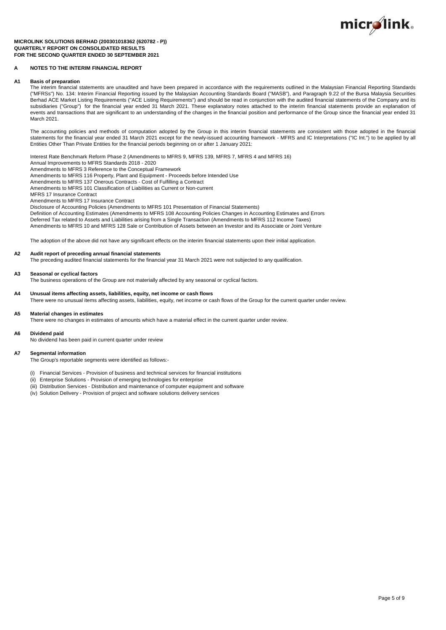

#### **MICROLINK SOLUTIONS BERHAD (200301018362 (620782 - P)) QUARTERLY REPORT ON CONSOLIDATED RESULTS FOR THE SECOND QUARTER ENDED 30 SEPTEMBER 2021**

### **A NOTES TO THE INTERIM FINANCIAL REPORT**

#### **A1 Basis of preparation**

The interim financial statements are unaudited and have been prepared in accordance with the requirements outlined in the Malaysian Financial Reporting Standards ("MFRSs") No. 134: Interim Financial Reporting issued by the Malaysian Accounting Standards Board ("MASB"), and Paragraph 9.22 of the Bursa Malaysia Securities Berhad ACE Market Listing Requirements ("ACE Listing Requirements") and should be read in conjunction with the audited financial statements of the Company and its subsidiaries ("Group") for the financial year ended 31 March 2021. These explanatory notes attached to the interim financial statements provide an explanation of events and transactions that are significant to an understanding of the changes in the financial position and performance of the Group since the financial year ended 31 March 2021.

The accounting policies and methods of computation adopted by the Group in this interim financial statements are consistent with those adopted in the financial statements for the financial year ended 31 March 2021 except for the newly-issued accounting framework - MFRS and IC Interpretations ("IC Int.") to be applied by all Entities Other Than Private Entities for the financial periods beginning on or after 1 January 2021:

Interest Rate Benchmark Reform Phase 2 (Amendments to MFRS 9, MFRS 139, MFRS 7, MFRS 4 and MFRS 16)

Annual Improvements to MFRS Standards 2018 - 2020

Amendments to MFRS 3 Reference to the Conceptual Framework

Amendments to MFRS 116 Property, Plant and Equipment - Proceeds before Intended Use Amendments to MFRS 137 Onerous Contracts - Cost of Fulfilling a Contract

Amendments to MFRS 101 Classification of Liabilities as Current or Non-current

MFRS 17 Insurance Contract

Amendments to MFRS 17 Insurance Contract

Disclosure of Accounting Policies (Amendments to MFRS 101 Presentation of Financial Statements) Definition of Accounting Estimates (Amendments to MFRS 108 Accounting Policies Changes in Accounting Estimates and Errors Deferred Tax related to Assets and Liabilities arising from a Single Transaction (Amendments to MFRS 112 Income Taxes) Amendments to MFRS 10 and MFRS 128 Sale or Contribution of Assets between an Investor and its Associate or Joint Venture

The adoption of the above did not have any significant effects on the interim financial statements upon their initial application.

## **A2 Audit report of preceding annual financial statements**

The preceding audited financial statements for the financial year 31 March 2021 were not subjected to any qualification.

#### **A3 Seasonal or cyclical factors**

The business operations of the Group are not materially affected by any seasonal or cyclical factors.

### **A4 Unusual items affecting assets, liabilities, equity, net income or cash flows**

There were no unusual items affecting assets, liabilities, equity, net income or cash flows of the Group for the current quarter under review.

#### **A5 Material changes in estimates**

There were no changes in estimates of amounts which have a material effect in the current quarter under review.

#### **A6 Dividend paid**

No dividend has been paid in current quarter under review

#### **A7 Segmental information**

The Group's reportable segments were identified as follows:-

- (i) Financial Services Provision of business and technical services for financial institutions
- (ii) Enterprise Solutions Provision of emerging technologies for enterprise
- (iii) Distribution Services Distribution and maintenance of computer equipment and software
- (iv) Solution Delivery Provision of project and software solutions delivery services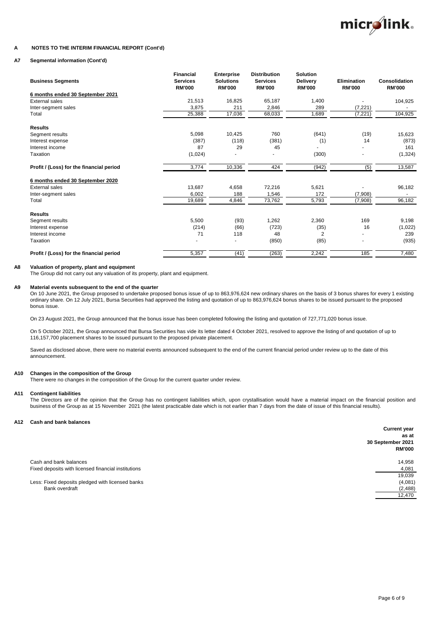

#### **A NOTES TO THE INTERIM FINANCIAL REPORT (Cont'd)**

### **A7 Segmental information (Cont'd)**

| <b>Business Segments</b>                 | <b>Financial</b><br><b>Services</b><br><b>RM'000</b> | <b>Enterprise</b><br><b>Solutions</b><br><b>RM'000</b> | <b>Distribution</b><br><b>Services</b><br><b>RM'000</b> | <b>Solution</b><br><b>Delivery</b><br><b>RM'000</b> | <b>Elimination</b><br><b>RM'000</b> | <b>Consolidation</b><br><b>RM'000</b> |
|------------------------------------------|------------------------------------------------------|--------------------------------------------------------|---------------------------------------------------------|-----------------------------------------------------|-------------------------------------|---------------------------------------|
| 6 months ended 30 September 2021         |                                                      |                                                        |                                                         |                                                     |                                     |                                       |
| <b>External sales</b>                    | 21,513                                               | 16,825                                                 | 65,187                                                  | 1,400                                               |                                     | 104,925                               |
| Inter-segment sales                      | 3,875                                                | 211                                                    | 2,846                                                   | 289                                                 | (7, 221)                            |                                       |
| Total                                    | 25,388                                               | 17,036                                                 | 68,033                                                  | 1,689                                               | (7, 221)                            | 104,925                               |
| <b>Results</b>                           |                                                      |                                                        |                                                         |                                                     |                                     |                                       |
| Segment results                          | 5,098                                                | 10,425                                                 | 760                                                     | (641)                                               | (19)                                | 15,623                                |
| Interest expense                         | (387)                                                | (118)                                                  | (381)                                                   | (1)                                                 | 14                                  | (873)                                 |
| Interest income                          | 87                                                   | 29                                                     | 45                                                      |                                                     |                                     | 161                                   |
| Taxation                                 | (1,024)                                              |                                                        |                                                         | (300)                                               | ۰                                   | (1, 324)                              |
| Profit / (Loss) for the financial period | 3,774                                                | 10,336                                                 | 424                                                     | (942)                                               | (5)                                 | 13,587                                |
| 6 months ended 30 September 2020         |                                                      |                                                        |                                                         |                                                     |                                     |                                       |
| <b>External sales</b>                    | 13,687                                               | 4,658                                                  | 72,216                                                  | 5,621                                               |                                     | 96,182                                |
| Inter-segment sales                      | 6,002                                                | 188                                                    | 1,546                                                   | 172                                                 | (7,908)                             |                                       |
| Total                                    | 19,689                                               | 4,846                                                  | 73,762                                                  | 5,793                                               | (7,908)                             | 96,182                                |
| <b>Results</b>                           |                                                      |                                                        |                                                         |                                                     |                                     |                                       |
| Segment results                          | 5,500                                                | (93)                                                   | 1,262                                                   | 2,360                                               | 169                                 | 9,198                                 |
| Interest expense                         | (214)                                                | (66)                                                   | (723)                                                   | (35)                                                | 16                                  | (1,022)                               |
| Interest income                          | 71                                                   | 118                                                    | 48                                                      | $\overline{2}$                                      | ٠                                   | 239                                   |
| Taxation                                 |                                                      |                                                        | (850)                                                   | (85)                                                |                                     | (935)                                 |
| Profit / (Loss) for the financial period | 5,357                                                | (41)                                                   | (263)                                                   | 2,242                                               | 185                                 | 7,480                                 |

#### **A8 Valuation of property, plant and equipment**

The Group did not carry out any valuation of its property, plant and equipment.

#### **A9 Material events subsequent to the end of the quarter**

On 10 June 2021, the Group proposed to undertake proposed bonus issue of up to 863,976,624 new ordinary shares on the basis of 3 bonus shares for every 1 existing ordinary share. On 12 July 2021, Bursa Securities had approved the listing and quotation of up to 863,976,624 bonus shares to be issued pursuant to the proposed bonus issue.

On 23 August 2021, the Group announced that the bonus issue has been completed following the listing and quotation of 727,771,020 bonus issue.

On 5 October 2021, the Group announced that Bursa Securities has vide its letter dated 4 October 2021, resolved to approve the listing of and quotation of up to 116,157,700 placement shares to be issued pursuant to the proposed private placement.

Saved as disclosed above, there were no material events announced subsequent to the end of the current financial period under review up to the date of this announcement.

#### **A10 Changes in the composition of the Group**

There were no changes in the composition of the Group for the current quarter under review.

### **A11 Contingent liabilities**

The Directors are of the opinion that the Group has no contingent liabilities which, upon crystallisation would have a material impact on the financial position and business of the Group as at 15 November 2021 (the latest practicable date which is not earlier than 7 days from the date of issue of this financial results).

### **A12 Cash and bank balances**

|                                                     | <b>Current year</b> |
|-----------------------------------------------------|---------------------|
|                                                     | as at               |
|                                                     | 30 September 2021   |
|                                                     | <b>RM'000</b>       |
| Cash and bank balances                              | 14,958              |
| Fixed deposits with licensed financial institutions | 4,081               |
|                                                     | 19,039              |
| Less: Fixed deposits pledged with licensed banks    | (4,081)             |
| Bank overdraft                                      | (2,488)             |
|                                                     | 12,470              |
|                                                     |                     |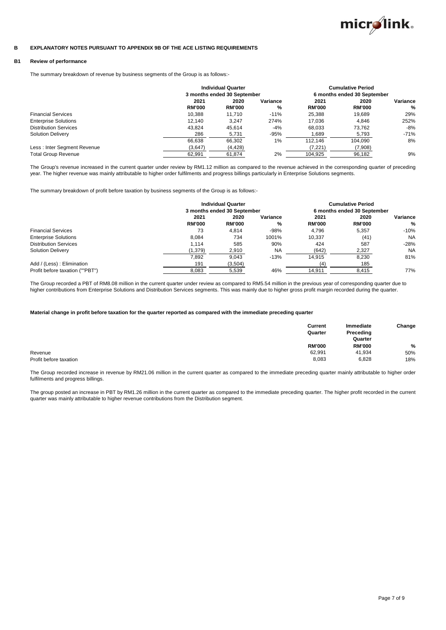

#### **B EXPLANATORY NOTES PURSUANT TO APPENDIX 9B OF THE ACE LISTING REQUIREMENTS**

### **B1 Review of performance**

The summary breakdown of revenue by business segments of the Group is as follows:-

|                              | <b>Individual Quarter</b> |                             |          |                             | <b>Cumulative Period</b> |          |
|------------------------------|---------------------------|-----------------------------|----------|-----------------------------|--------------------------|----------|
|                              |                           | 3 months ended 30 September |          | 6 months ended 30 September |                          |          |
|                              | 2021                      | 2020                        | Variance | 2021                        | 2020                     | Variance |
|                              | <b>RM'000</b>             | <b>RM'000</b>               | %        | <b>RM'000</b>               | <b>RM'000</b>            | %        |
| <b>Financial Services</b>    | 10.388                    | 11.710                      | $-11%$   | 25.388                      | 19.689                   | 29%      |
| <b>Enterprise Solutions</b>  | 12.140                    | 3.247                       | 274%     | 17.036                      | 4.846                    | 252%     |
| <b>Distribution Services</b> | 43.824                    | 45.614                      | $-4%$    | 68.033                      | 73.762                   | $-8%$    |
| <b>Solution Delivery</b>     | 286                       | 5,731                       | $-95%$   | 1,689                       | 5,793                    | $-71%$   |
|                              | 66.638                    | 66.302                      | $1\%$    | 112.146                     | 104.090                  | 8%       |
| Less : Inter Segment Revenue | (3,647)                   | (4, 428)                    |          | (7,221)                     | (7,908)                  |          |
| <b>Total Group Revenue</b>   | 62.991                    | 61,874                      | 2%       | 104.925                     | 96,182                   | 9%       |

The Group's revenue increased in the current quarter under review by RM1.12 million as compared to the revenue achieved in the corresponding quarter of preceding year. The higher revenue was mainly attributable to higher order fulfilments and progress billings particularly in Enterprise Solutions segments.

The summary breakdown of profit before taxation by business segments of the Group is as follows:-

|                                 | <b>Individual Quarter</b> |                             |           |               | <b>Cumulative Period</b>    |           |
|---------------------------------|---------------------------|-----------------------------|-----------|---------------|-----------------------------|-----------|
|                                 |                           | 3 months ended 30 September |           |               | 6 months ended 30 September |           |
|                                 | 2021                      | 2020                        | Variance  | 2021          | 2020                        | Variance  |
|                                 | <b>RM'000</b>             | <b>RM'000</b>               | %         | <b>RM'000</b> | <b>RM'000</b>               | %         |
| <b>Financial Services</b>       | 73                        | 4.814                       | $-98%$    | 4.796         | 5.357                       | $-10%$    |
| <b>Enterprise Solutions</b>     | 8.084                     | 734                         | 1001%     | 10,337        | (41)                        | <b>NA</b> |
| <b>Distribution Services</b>    | 1.114                     | 585                         | 90%       | 424           | 587                         | $-28%$    |
| <b>Solution Delivery</b>        | (1, 379)                  | 2,910                       | <b>NA</b> | (642)         | 2,327                       | <b>NA</b> |
|                                 | 7.892                     | 9.043                       | $-13%$    | 14.915        | 8,230                       | 81%       |
| Add / (Less) : Elimination      | 191                       | (3,504)                     |           | (4)           | 185                         |           |
| Profit before taxation (""PBT") | 8,083                     | 5,539                       | 46%       | 14,911        | 8.415                       | 77%       |

The Group recorded a PBT of RM8.08 million in the current quarter under review as compared to RM5.54 million in the previous year of corresponding quarter due to higher contributions from Enterprise Solutions and Distribution Services segments. This was mainly due to higher gross profit margin recorded during the quarter.

#### **Material change in profit before taxation for the quarter reported as compared with the immediate preceding quarter**

|                        | Current<br>Quarter | Immediate<br>Preceding<br>Quarter | Change        |
|------------------------|--------------------|-----------------------------------|---------------|
|                        | <b>RM'000</b>      | <b>RM'000</b>                     | $\frac{0}{0}$ |
| Revenue                | 62,991             | 41.934                            | 50%           |
| Profit before taxation | 8,083              | 6,828                             | 18%           |

The Group recorded increase in revenue by RM21.06 million in the current quarter as compared to the immediate preceding quarter mainly attributable to higher order fulfilments and progress billings.

The group posted an increase in PBT by RM1.26 million in the current quarter as compared to the immediate preceding quarter. The higher profit recorded in the current quarter was mainly attributable to higher revenue contributions from the Distribution segment.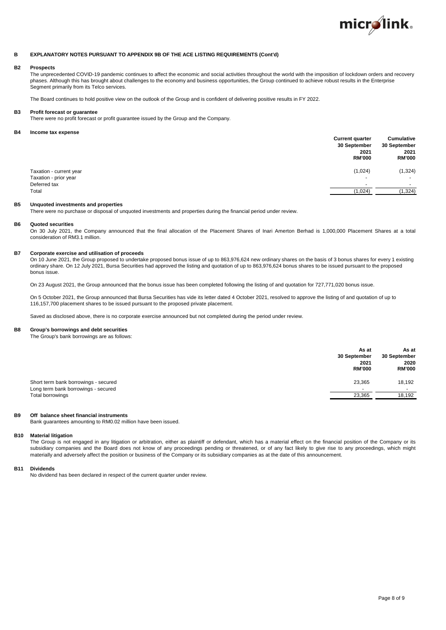

#### **B EXPLANATORY NOTES PURSUANT TO APPENDIX 9B OF THE ACE LISTING REQUIREMENTS (Cont'd)**

### **B2 Prospects**

The unprecedented COVID-19 pandemic continues to affect the economic and social activities throughout the world with the imposition of lockdown orders and recovery phases. Although this has brought about challenges to the economy and business opportunities, the Group continued to achieve robust results in the Enterprise Segment primarily from its Telco services.

The Board continues to hold positive view on the outlook of the Group and is confident of delivering positive results in FY 2022.

### **B3 Profit forecast or guarantee**

There were no profit forecast or profit guarantee issued by the Group and the Company.

#### **B4 Income tax expense**

| . .                     | <b>Current quarter</b><br>30 September<br>2021<br><b>RM'000</b> | <b>Cumulative</b><br>30 September<br>2021<br><b>RM'000</b> |
|-------------------------|-----------------------------------------------------------------|------------------------------------------------------------|
| Taxation - current year | (1,024)                                                         | (1, 324)                                                   |
| Taxation - prior year   | <b>.</b>                                                        | $\overline{\phantom{a}}$                                   |
| Deferred tax            | <b>.</b>                                                        |                                                            |
| Total                   | (1,024)                                                         | 1,324)                                                     |

### **B5 Unquoted investments and properties**

There were no purchase or disposal of unquoted investments and properties during the financial period under review.

#### **B6 Quoted securities**

On 30 July 2021, the Company announced that the final allocation of the Placement Shares of Inari Amerton Berhad is 1,000,000 Placement Shares at a total consideration of RM3.1 million.

#### **B7 Corporate exercise and utilisation of proceeds**

On 10 June 2021, the Group proposed to undertake proposed bonus issue of up to 863,976,624 new ordinary shares on the basis of 3 bonus shares for every 1 existing ordinary share. On 12 July 2021, Bursa Securities had approved the listing and quotation of up to 863,976,624 bonus shares to be issued pursuant to the proposed bonus issue.

On 23 August 2021, the Group announced that the bonus issue has been completed following the listing of and quotation for 727,771,020 bonus issue.

On 5 October 2021, the Group announced that Bursa Securities has vide its letter dated 4 October 2021, resolved to approve the listing of and quotation of up to 116,157,700 placement shares to be issued pursuant to the proposed private placement.

Saved as disclosed above, there is no corporate exercise announced but not completed during the period under review.

### **B8 Group's borrowings and debt securities**

The Group's bank borrowings are as follows:

|                                                                             | As at<br>30 September<br>2021<br><b>RM'000</b> | As at<br>30 September<br>2020<br><b>RM'000</b> |
|-----------------------------------------------------------------------------|------------------------------------------------|------------------------------------------------|
| Short term bank borrowings - secured<br>Long term bank borrowings - secured | 23,365<br>--                                   | 18,192                                         |
| Total borrowings                                                            | 23,365                                         | 18,192                                         |

#### **B9 Off balance sheet financial instruments**

Bank guarantees amounting to RM0.02 million have been issued.

#### **B10 Material litigation**

The Group is not engaged in any litigation or arbitration, either as plaintiff or defendant, which has a material effect on the financial position of the Company or its subsidiary companies and the Board does not know of any proceedings pending or threatened, or of any fact likely to give rise to any proceedings, which might materially and adversely affect the position or business of the Company or its subsidiary companies as at the date of this announcement.

#### **B11 Dividends**

No dividend has been declared in respect of the current quarter under review.